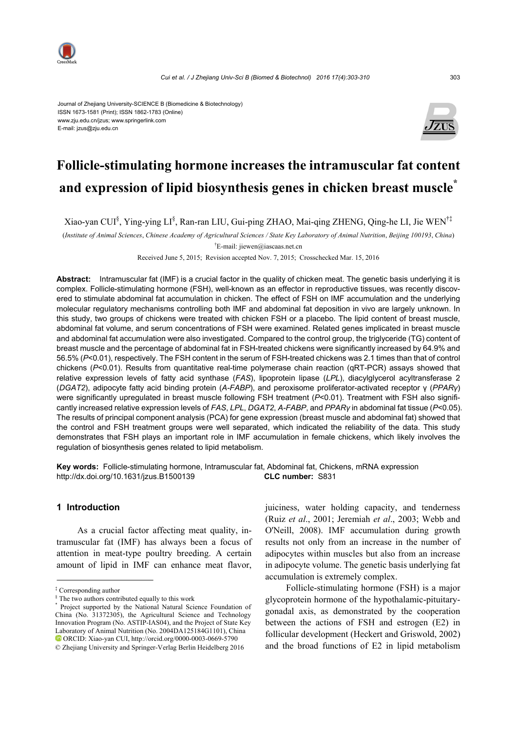

Journal of Zhejiang University-SCIENCE B (Biomedicine & Biotechnology) ISSN 1673-1581 (Print); ISSN 1862-1783 (Online) www.zju.edu.cn/jzus; www.springerlink.com E-mail: jzus@zju.edu.cn



# **Follicle-stimulating hormone increases the intramuscular fat content and expression of lipid biosynthesis genes in chicken breast muscle\***

Xiao-yan CUI§ , Ying-ying LI§ , Ran-ran LIU, Gui-ping ZHAO, Mai-qing ZHENG, Qing-he LI, Jie WEN†‡

(*Institute of Animal Sciences*, *Chinese Academy of Agricultural Sciences / State Key Laboratory of Animal Nutrition*, *Beijing 100193*, *China*)

† E-mail: jiewen@iascaas.net.cn

Received June 5, 2015; Revision accepted Nov. 7, 2015; Crosschecked Mar. 15, 2016

**Abstract:** Intramuscular fat (IMF) is a crucial factor in the quality of chicken meat. The genetic basis underlying it is complex. Follicle-stimulating hormone (FSH), well-known as an effector in reproductive tissues, was recently discovered to stimulate abdominal fat accumulation in chicken. The effect of FSH on IMF accumulation and the underlying molecular regulatory mechanisms controlling both IMF and abdominal fat deposition in vivo are largely unknown. In this study, two groups of chickens were treated with chicken FSH or a placebo. The lipid content of breast muscle, abdominal fat volume, and serum concentrations of FSH were examined. Related genes implicated in breast muscle and abdominal fat accumulation were also investigated. Compared to the control group, the triglyceride (TG) content of breast muscle and the percentage of abdominal fat in FSH-treated chickens were significantly increased by 64.9% and 56.5% (*P*<0.01), respectively. The FSH content in the serum of FSH-treated chickens was 2.1 times than that of control chickens (*P*<0.01). Results from quantitative real-time polymerase chain reaction (qRT-PCR) assays showed that relative expression levels of fatty acid synthase (*FAS*), lipoprotein lipase (*LPL*), diacylglycerol acyltransferase 2 (*DGAT2*), adipocyte fatty acid binding protein (*A-FABP*), and peroxisome proliferator-activated receptor γ (*PPARγ*) were significantly upregulated in breast muscle following FSH treatment (*P*<0.01). Treatment with FSH also significantly increased relative expression levels of *FAS*, *LPL*, *DGAT2*, *A-FABP*, and *PPARγ* in abdominal fat tissue (*P*<0.05). The results of principal component analysis (PCA) for gene expression (breast muscle and abdominal fat) showed that the control and FSH treatment groups were well separated, which indicated the reliability of the data. This study demonstrates that FSH plays an important role in IMF accumulation in female chickens, which likely involves the regulation of biosynthesis genes related to lipid metabolism.

**Key words:** Follicle-stimulating hormone, Intramuscular fat, Abdominal fat, Chickens, mRNA expression http://dx.doi.org/10.1631/jzus.B1500139 **CLC number:** S831

# **1 Introduction**

As a crucial factor affecting meat quality, intramuscular fat (IMF) has always been a focus of attention in meat-type poultry breeding. A certain amount of lipid in IMF can enhance meat flavor, juiciness, water holding capacity, and tenderness (Ruiz *et al*., 2001; Jeremiah *et al*., 2003; Webb and O'Neill, 2008). IMF accumulation during growth results not only from an increase in the number of adipocytes within muscles but also from an increase in adipocyte volume. The genetic basis underlying fat accumulation is extremely complex.

Follicle-stimulating hormone (FSH) is a major glycoprotein hormone of the hypothalamic-pituitarygonadal axis, as demonstrated by the cooperation between the actions of FSH and estrogen (E2) in follicular development (Heckert and Griswold, 2002) and the broad functions of E2 in lipid metabolism

<sup>‡</sup> Corresponding author

<sup>§</sup> The two authors contributed equally to this work

<sup>\*</sup> Project supported by the National Natural Science Foundation of China (No. 31372305), the Agricultural Science and Technology Innovation Program (No. ASTIP-IAS04), and the Project of State Key Laboratory of Animal Nutrition (No. 2004DA125184G1101), China ORCID: Xiao-yan CUI, http://orcid.org/0000-0003-0669-5790

<sup>©</sup> Zhejiang University and Springer-Verlag Berlin Heidelberg 2016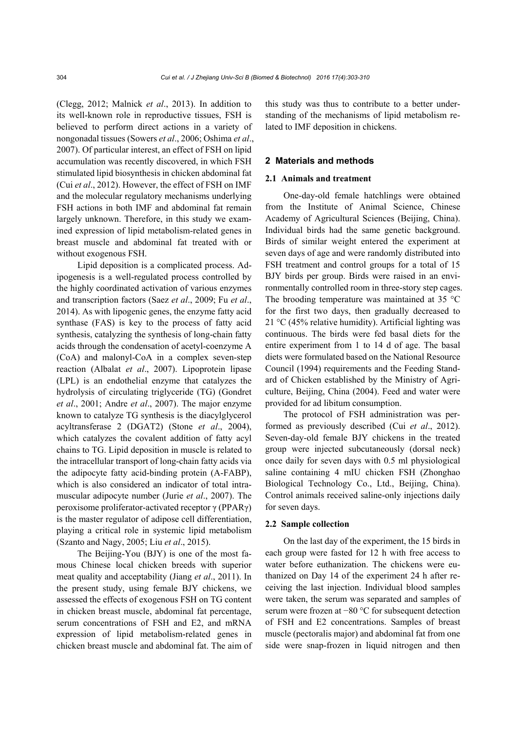(Clegg, 2012; Malnick *et al*., 2013). In addition to its well-known role in reproductive tissues, FSH is believed to perform direct actions in a variety of nongonadal tissues (Sowers *et al*., 2006; Oshima *et al*., 2007). Of particular interest, an effect of FSH on lipid accumulation was recently discovered, in which FSH stimulated lipid biosynthesis in chicken abdominal fat (Cui *et al*., 2012). However, the effect of FSH on IMF and the molecular regulatory mechanisms underlying FSH actions in both IMF and abdominal fat remain largely unknown. Therefore, in this study we examined expression of lipid metabolism-related genes in breast muscle and abdominal fat treated with or without exogenous FSH.

Lipid deposition is a complicated process. Adipogenesis is a well-regulated process controlled by the highly coordinated activation of various enzymes and transcription factors (Saez *et al*., 2009; Fu *et al*., 2014). As with lipogenic genes, the enzyme fatty acid synthase (FAS) is key to the process of fatty acid synthesis, catalyzing the synthesis of long-chain fatty acids through the condensation of acetyl-coenzyme A (CoA) and malonyl-CoA in a complex seven-step reaction (Albalat *et al*., 2007). Lipoprotein lipase (LPL) is an endothelial enzyme that catalyzes the hydrolysis of circulating triglyceride (TG) (Gondret *et al*., 2001; Andre *et al*., 2007). The major enzyme known to catalyze TG synthesis is the diacylglycerol acyltransferase 2 (DGAT2) (Stone *et al*., 2004), which catalyzes the covalent addition of fatty acyl chains to TG. Lipid deposition in muscle is related to the intracellular transport of long-chain fatty acids via the adipocyte fatty acid-binding protein (A-FABP), which is also considered an indicator of total intramuscular adipocyte number (Jurie *et al*., 2007). The peroxisome proliferator-activated receptor γ (PPARγ) is the master regulator of adipose cell differentiation, playing a critical role in systemic lipid metabolism (Szanto and Nagy, 2005; Liu *et al*., 2015).

The Beijing-You (BJY) is one of the most famous Chinese local chicken breeds with superior meat quality and acceptability (Jiang *et al*., 2011). In the present study, using female BJY chickens, we assessed the effects of exogenous FSH on TG content in chicken breast muscle, abdominal fat percentage, serum concentrations of FSH and E2, and mRNA expression of lipid metabolism-related genes in chicken breast muscle and abdominal fat. The aim of this study was thus to contribute to a better understanding of the mechanisms of lipid metabolism related to IMF deposition in chickens.

#### **2 Materials and methods**

#### **2.1 Animals and treatment**

One-day-old female hatchlings were obtained from the Institute of Animal Science, Chinese Academy of Agricultural Sciences (Beijing, China). Individual birds had the same genetic background. Birds of similar weight entered the experiment at seven days of age and were randomly distributed into FSH treatment and control groups for a total of 15 BJY birds per group. Birds were raised in an environmentally controlled room in three-story step cages. The brooding temperature was maintained at 35 °C for the first two days, then gradually decreased to 21 °C (45% relative humidity). Artificial lighting was continuous. The birds were fed basal diets for the entire experiment from 1 to 14 d of age. The basal diets were formulated based on the National Resource Council (1994) requirements and the Feeding Standard of Chicken established by the Ministry of Agriculture, Beijing, China (2004). Feed and water were provided for ad libitum consumption.

The protocol of FSH administration was performed as previously described (Cui *et al*., 2012). Seven-day-old female BJY chickens in the treated group were injected subcutaneously (dorsal neck) once daily for seven days with 0.5 ml physiological saline containing 4 mIU chicken FSH (Zhonghao Biological Technology Co., Ltd., Beijing, China). Control animals received saline-only injections daily for seven days.

#### **2.2 Sample collection**

On the last day of the experiment, the 15 birds in each group were fasted for 12 h with free access to water before euthanization. The chickens were euthanized on Day 14 of the experiment 24 h after receiving the last injection. Individual blood samples were taken, the serum was separated and samples of serum were frozen at −80 °C for subsequent detection of FSH and E2 concentrations. Samples of breast muscle (pectoralis major) and abdominal fat from one side were snap-frozen in liquid nitrogen and then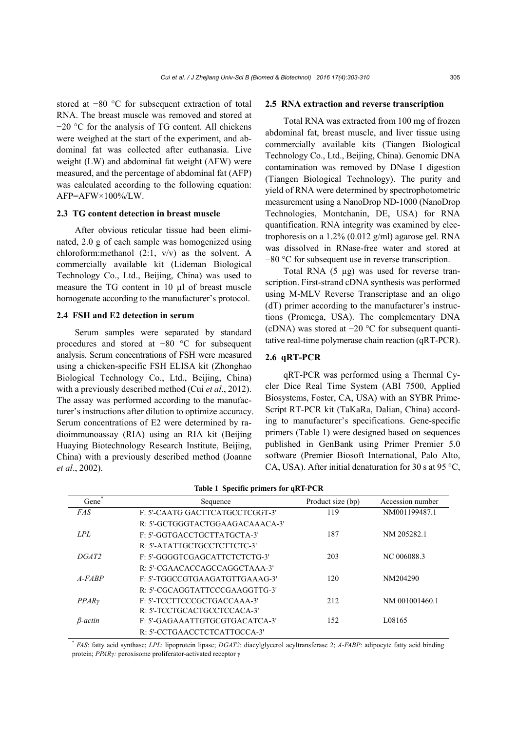stored at −80 °C for subsequent extraction of total RNA. The breast muscle was removed and stored at −20 °C for the analysis of TG content. All chickens were weighed at the start of the experiment, and abdominal fat was collected after euthanasia. Live weight (LW) and abdominal fat weight (AFW) were measured, and the percentage of abdominal fat (AFP) was calculated according to the following equation:  $AFP=AFW \times 100\%$ /LW.

### **2.3 TG content detection in breast muscle**

After obvious reticular tissue had been eliminated, 2.0 g of each sample was homogenized using chloroform:methanol (2:1, v/v) as the solvent. A commercially available kit (Lideman Biological Technology Co., Ltd., Beijing, China) was used to measure the TG content in 10 µl of breast muscle homogenate according to the manufacturer's protocol.

#### **2.4 FSH and E2 detection in serum**

Serum samples were separated by standard procedures and stored at −80 °C for subsequent analysis. Serum concentrations of FSH were measured using a chicken-specific FSH ELISA kit (Zhonghao Biological Technology Co., Ltd., Beijing, China) with a previously described method (Cui *et al*., 2012). The assay was performed according to the manufacturer's instructions after dilution to optimize accuracy. Serum concentrations of E2 were determined by radioimmunoassay (RIA) using an RIA kit (Beijing Huaying Biotechnology Research Institute, Beijing, China) with a previously described method (Joanne *et al*., 2002).

#### **2.5 RNA extraction and reverse transcription**

Total RNA was extracted from 100 mg of frozen abdominal fat, breast muscle, and liver tissue using commercially available kits (Tiangen Biological Technology Co., Ltd., Beijing, China). Genomic DNA contamination was removed by DNase I digestion (Tiangen Biological Technology). The purity and yield of RNA were determined by spectrophotometric measurement using a NanoDrop ND-1000 (NanoDrop Technologies, Montchanin, DE, USA) for RNA quantification. RNA integrity was examined by electrophoresis on a 1.2% (0.012 g/ml) agarose gel. RNA was dissolved in RNase-free water and stored at −80 °C for subsequent use in reverse transcription.

Total RNA  $(5 \mu g)$  was used for reverse transcription. First-strand cDNA synthesis was performed using M-MLV Reverse Transcriptase and an oligo (dT) primer according to the manufacturer's instructions (Promega, USA). The complementary DNA (cDNA) was stored at  $-20$  °C for subsequent quantitative real-time polymerase chain reaction (qRT-PCR).

### **2.6 qRT-PCR**

qRT-PCR was performed using a Thermal Cycler Dice Real Time System (ABI 7500, Applied Biosystems, Foster, CA, USA) with an SYBR Prime-Script RT-PCR kit (TaKaRa, Dalian, China) according to manufacturer's specifications. Gene-specific primers (Table 1) were designed based on sequences published in GenBank using Primer Premier 5.0 software (Premier Biosoft International, Palo Alto, CA, USA). After initial denaturation for 30 s at 95  $^{\circ}$ C,

| Gene <sup>®</sup> | Sequence                               | Product size (bp) | Accession number |
|-------------------|----------------------------------------|-------------------|------------------|
| <i>FAS</i>        | <b>F: 5'-CAATG GACTTCATGCCTCGGT-3'</b> | 119               | NM001199487.1    |
|                   | R: 5'-GCTGGGTACTGGAAGACAAACA-3'        |                   |                  |
| LPL               | F: 5'-GGTGACCTGCTTATGCTA-3'            | 187               | NM 205282.1      |
|                   | R: 5'-ATATTGCTGCCTCTTCTC-3'            |                   |                  |
| DGAT2             | F: 5'-GGGGTCGAGCATTCTCTCTG-3'          | 203               | NC 006088.3      |
|                   | R: 5'-CGAACACCAGCCAGGCTAAA-3'          |                   |                  |
| $A-FARP$          | F: 5'-TGGCCGTGAAGATGTTGAAAG-3'         | 120               | NM204290         |
|                   | R: 5'-CGCAGGTATTCCCGAAGGTTG-3'         |                   |                  |
| PPAR <sub>V</sub> | F: 5'-TCCTTCCCGCTGACCAAA-3'            | 212               | NM 001001460.1   |
|                   | R: 5'-TCCTGCACTGCCTCCACA-3'            |                   |                  |
| $B$ -actin        | F: 5'-GAGAAATTGTGCGTGACATCA-3'         | 152               | L08165           |
|                   | R: 5'-CCTGAACCTCTCATTGCCA-3'           |                   |                  |

|  |  |  |  | Table 1 Specific primers for qRT-PCR |
|--|--|--|--|--------------------------------------|
|--|--|--|--|--------------------------------------|

\* *FAS*: fatty acid synthase; *LPL*: lipoprotein lipase; *DGAT2*: diacylglycerol acyltransferase 2; *A-FABP*: adipocyte fatty acid binding protein; *PPARγ:* peroxisome proliferator-activated receptor *γ*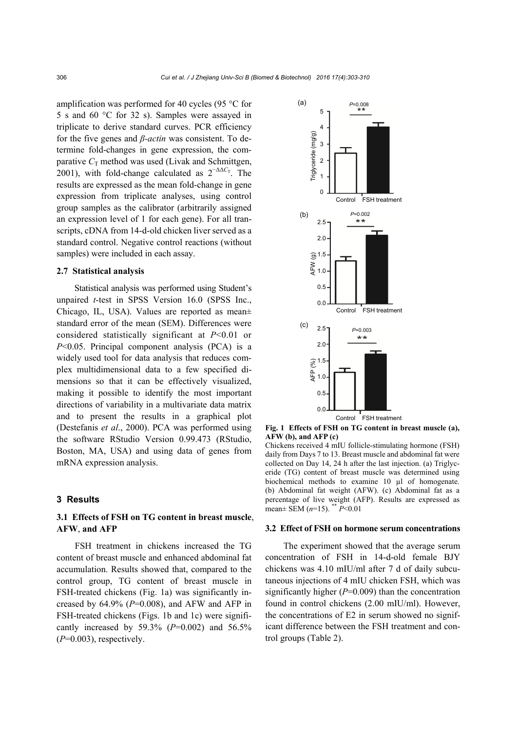amplification was performed for 40 cycles (95 °C for 5 s and 60 °C for 32 s). Samples were assayed in triplicate to derive standard curves. PCR efficiency for the five genes and *β-actin* was consistent. To determine fold-changes in gene expression, the comparative  $C_T$  method was used (Livak and Schmittgen, 2001), with fold-change calculated as  $2^{-\Delta\Delta C_T}$ . The results are expressed as the mean fold-change in gene expression from triplicate analyses, using control group samples as the calibrator (arbitrarily assigned an expression level of 1 for each gene). For all transcripts, cDNA from 14-d-old chicken liver served as a standard control. Negative control reactions (without samples) were included in each assay.

#### **2.7 Statistical analysis**

Statistical analysis was performed using Student's unpaired *t*-test in SPSS Version 16.0 (SPSS Inc., Chicago, IL, USA). Values are reported as mean± standard error of the mean (SEM). Differences were considered statistically significant at *P*<0.01 or *P*<0.05. Principal component analysis (PCA) is a widely used tool for data analysis that reduces complex multidimensional data to a few specified dimensions so that it can be effectively visualized, making it possible to identify the most important directions of variability in a multivariate data matrix and to present the results in a graphical plot (Destefanis *et al*., 2000). PCA was performed using the software RStudio Version 0.99.473 (RStudio, Boston, MA, USA) and using data of genes from mRNA expression analysis.

#### **3 Results**

# **3.1 Effects of FSH on TG content in breast muscle**, **AFW**, **and AFP**

FSH treatment in chickens increased the TG content of breast muscle and enhanced abdominal fat accumulation. Results showed that, compared to the control group, TG content of breast muscle in FSH-treated chickens (Fig. 1a) was significantly increased by  $64.9\%$  ( $P=0.008$ ), and AFW and AFP in FSH-treated chickens (Figs. 1b and 1c) were significantly increased by 59.3% (*P*=0.002) and 56.5%  $(P=0.003)$ , respectively.



**Fig. 1 Effects of FSH on TG content in breast muscle (a), AFW (b), and AFP (c)** 

Chickens received 4 mIU follicle-stimulating hormone (FSH) daily from Days 7 to 13. Breast muscle and abdominal fat were collected on Day 14, 24 h after the last injection. (a) Triglyceride (TG) content of breast muscle was determined using biochemical methods to examine 10 µl of homogenate. (b) Abdominal fat weight (AFW). (c) Abdominal fat as a percentage of live weight (AFP). Results are expressed as mean± SEM (*n*=15). \*\* *P*<0.01

#### **3.2 Effect of FSH on hormone serum concentrations**

The experiment showed that the average serum concentration of FSH in 14-d-old female BJY chickens was 4.10 mIU/ml after 7 d of daily subcutaneous injections of 4 mIU chicken FSH, which was significantly higher (*P*=0.009) than the concentration found in control chickens (2.00 mIU/ml). However, the concentrations of E2 in serum showed no significant difference between the FSH treatment and control groups (Table 2).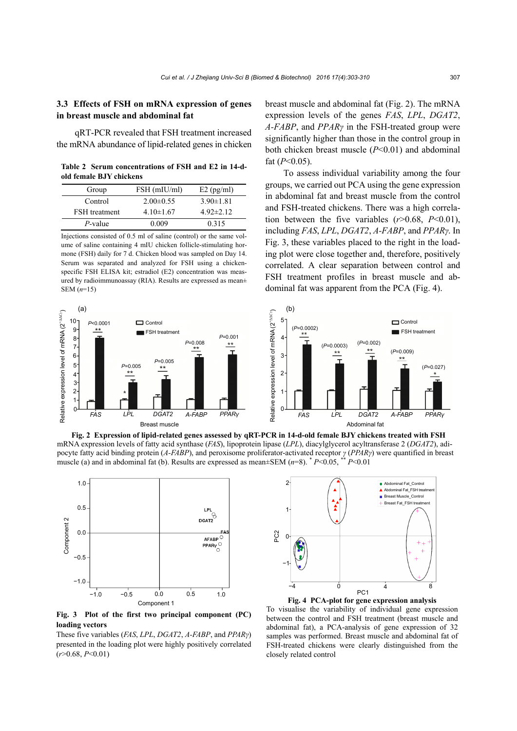# **3.3 Effects of FSH on mRNA expression of genes in breast muscle and abdominal fat**

qRT-PCR revealed that FSH treatment increased the mRNA abundance of lipid-related genes in chicken

**Table 2 Serum concentrations of FSH and E2 in 14-dold female BJY chickens** 

| Group                | FSH (mIU/ml)    | $E2$ (pg/ml)    |
|----------------------|-----------------|-----------------|
| Control              | $2.00\pm 0.55$  | $3.90 \pm 1.81$ |
| <b>FSH</b> treatment | $4.10 \pm 1.67$ | $4.92 \pm 2.12$ |
| $P$ -value           | 0.009           | 0.315           |

Injections consisted of 0.5 ml of saline (control) or the same volume of saline containing 4 mIU chicken follicle-stimulating hormone (FSH) daily for 7 d. Chicken blood was sampled on Day 14. Serum was separated and analyzed for FSH using a chickenspecific FSH ELISA kit; estradiol (E2) concentration was measured by radioimmunoassay (RIA). Results are expressed as mean± SEM (*n*=15)



breast muscle and abdominal fat (Fig. 2). The mRNA expression levels of the genes *FAS*, *LPL*, *DGAT2*, *A-FABP*, and *PPARγ* in the FSH-treated group were significantly higher than those in the control group in both chicken breast muscle (*P*<0.01) and abdominal fat (*P*<0.05).

To assess individual variability among the four groups, we carried out PCA using the gene expression in abdominal fat and breast muscle from the control and FSH-treated chickens. There was a high correlation between the five variables (*r*>0.68, *P*<0.01), including *FAS*, *LPL*, *DGAT2*, *A-FABP*, and *PPARγ*. In Fig. 3, these variables placed to the right in the loading plot were close together and, therefore, positively correlated. A clear separation between control and FSH treatment profiles in breast muscle and abdominal fat was apparent from the PCA (Fig. 4).



**Fig. 2 Expression of lipid-related genes assessed by qRT-PCR in 14-d-old female BJY chickens treated with FSH** mRNA expression levels of fatty acid synthase (*FAS*), lipoprotein lipase (*LPL*), diacylglycerol acyltransferase 2 (*DGAT2*), adipocyte fatty acid binding protein (*A-FABP*), and peroxisome proliferator-activated receptor *γ* (*PPARγ*) were quantified in breast muscle (a) and in abdominal fat (b). Results are expressed as mean±SEM (*n*=8). \* *P*<0.05, \*\* *P*<0.01



**Fig. 3 Plot of the first two principal component (PC) loading vectors**

These five variables (*FAS*, *LPL*, *DGAT2*, *A-FABP*, and *PPARγ*) presented in the loading plot were highly positively correlated (*r*>0.68, *P*<0.01)



**Fig. 4 PCA-plot for gene expression analysis** 

To visualise the variability of individual gene expression between the control and FSH treatment (breast muscle and abdominal fat), a PCA-analysis of gene expression of 32 samples was performed. Breast muscle and abdominal fat of FSH-treated chickens were clearly distinguished from the closely related control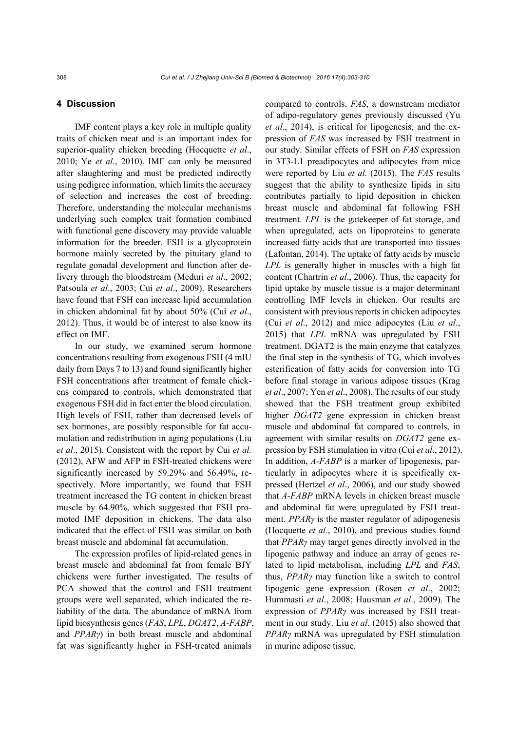#### **4 Discussion**

IMF content plays a key role in multiple quality traits of chicken meat and is an important index for superior-quality chicken breeding (Hocquette *et al*., 2010; Ye *et al*., 2010). IMF can only be measured after slaughtering and must be predicted indirectly using pedigree information, which limits the accuracy of selection and increases the cost of breeding. Therefore, understanding the molecular mechanisms underlying such complex trait formation combined with functional gene discovery may provide valuable information for the breeder. FSH is a glycoprotein hormone mainly secreted by the pituitary gland to regulate gonadal development and function after delivery through the bloodstream (Meduri *et al*., 2002; Patsoula *et al*., 2003; Cui *et al*., 2009). Researchers have found that FSH can increase lipid accumulation in chicken abdominal fat by about 50% (Cui *et al*., 2012). Thus, it would be of interest to also know its effect on IMF.

In our study, we examined serum hormone concentrations resulting from exogenous FSH (4 mIU daily from Days 7 to 13) and found significantly higher FSH concentrations after treatment of female chickens compared to controls, which demonstrated that exogenous FSH did in fact enter the blood circulation. High levels of FSH, rather than decreased levels of sex hormones, are possibly responsible for fat accumulation and redistribution in aging populations (Liu *et al*., 2015). Consistent with the report by Cui *et al.* (2012), AFW and AFP in FSH-treated chickens were significantly increased by 59.29% and 56.49%, respectively. More importantly, we found that FSH treatment increased the TG content in chicken breast muscle by 64.90%, which suggested that FSH promoted IMF deposition in chickens. The data also indicated that the effect of FSH was similar on both breast muscle and abdominal fat accumulation.

The expression profiles of lipid-related genes in breast muscle and abdominal fat from female BJY chickens were further investigated. The results of PCA showed that the control and FSH treatment groups were well separated, which indicated the reliability of the data. The abundance of mRNA from lipid biosynthesis genes (*FAS*, *LPL*, *DGAT2*, *A-FABP*, and *PPARγ*) in both breast muscle and abdominal fat was significantly higher in FSH-treated animals

compared to controls. *FAS*, a downstream mediator of adipo-regulatory genes previously discussed (Yu *et al*., 2014), is critical for lipogenesis, and the expression of *FAS* was increased by FSH treatment in our study. Similar effects of FSH on *FAS* expression in 3T3-L1 preadipocytes and adipocytes from mice were reported by Liu *et al.* (2015). The *FAS* results suggest that the ability to synthesize lipids in situ contributes partially to lipid deposition in chicken breast muscle and abdominal fat following FSH treatment. *LPL* is the gatekeeper of fat storage, and when upregulated, acts on lipoproteins to generate increased fatty acids that are transported into tissues (Lafontan, 2014). The uptake of fatty acids by muscle *LPL* is generally higher in muscles with a high fat content (Chartrin *et al*., 2006). Thus, the capacity for lipid uptake by muscle tissue is a major determinant controlling IMF levels in chicken. Our results are consistent with previous reports in chicken adipocytes (Cui *et al*., 2012) and mice adipocytes (Liu *et al*., 2015) that *LPL* mRNA was upregulated by FSH treatment. DGAT2 is the main enzyme that catalyzes the final step in the synthesis of TG, which involves esterification of fatty acids for conversion into TG before final storage in various adipose tissues (Krag *et al*., 2007; Yen *et al*., 2008). The results of our study showed that the FSH treatment group exhibited higher *DGAT2* gene expression in chicken breast muscle and abdominal fat compared to controls, in agreement with similar results on *DGAT2* gene expression by FSH stimulation in vitro (Cui *et al*., 2012). In addition, *A-FABP* is a marker of lipogenesis, particularly in adipocytes where it is specifically expressed (Hertzel *et al*., 2006), and our study showed that *A-FABP* mRNA levels in chicken breast muscle and abdominal fat were upregulated by FSH treatment. *PPARγ* is the master regulator of adipogenesis (Hocquette *et al*., 2010), and previous studies found that *PPARγ* may target genes directly involved in the lipogenic pathway and induce an array of genes related to lipid metabolism, including *LPL* and *FAS*; thus, *PPARγ* may function like a switch to control lipogenic gene expression (Rosen *et al*., 2002; Hummasti *et al*., 2008; Hausman *et al*., 2009). The expression of *PPARγ* was increased by FSH treatment in our study. Liu *et al.* (2015) also showed that *PPARγ* mRNA was upregulated by FSH stimulation in murine adipose tissue.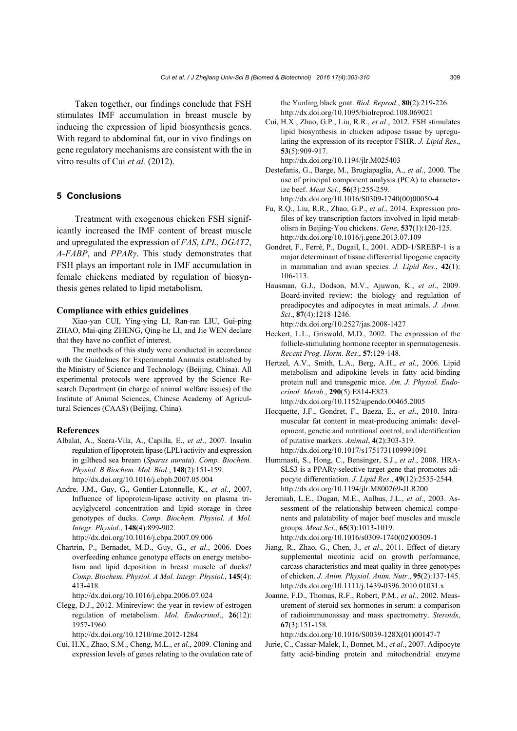Taken together, our findings conclude that FSH stimulates IMF accumulation in breast muscle by inducing the expression of lipid biosynthesis genes. With regard to abdominal fat, our in vivo findings on gene regulatory mechanisms are consistent with the in vitro results of Cui *et al.* (2012).

# **5 Conclusions**

Treatment with exogenous chicken FSH significantly increased the IMF content of breast muscle and upregulated the expression of *FAS*, *LPL*, *DGAT2*, *A-FABP*, and *PPARγ*. This study demonstrates that FSH plays an important role in IMF accumulation in female chickens mediated by regulation of biosynthesis genes related to lipid metabolism.

#### **Compliance with ethics guidelines**

Xiao-yan CUI, Ying-ying LI, Ran-ran LIU, Gui-ping ZHAO, Mai-qing ZHENG, Qing-he LI, and Jie WEN declare that they have no conflict of interest.

The methods of this study were conducted in accordance with the Guidelines for Experimental Animals established by the Ministry of Science and Technology (Beijing, China). All experimental protocols were approved by the Science Research Department (in charge of animal welfare issues) of the Institute of Animal Sciences, Chinese Academy of Agricultural Sciences (CAAS) (Beijing, China).

#### **References**

- Albalat, A., Saera-Vila, A., Capilla, E., *et al*., 2007. Insulin regulation of lipoprotein lipase (LPL) activity and expression in gilthead sea bream (*Sparus aurata*). *Comp. Biochem. Physiol. B Biochem. Mol. Biol*., **148**(2):151-159. http://dx.doi.org/10.1016/j.cbpb.2007.05.004
- Andre, J.M., Guy, G., Gontier-Latonnelle, K., *et al*., 2007. Influence of lipoprotein-lipase activity on plasma triacylglycerol concentration and lipid storage in three genotypes of ducks. *Comp. Biochem. Physiol. A Mol. Integr. Physiol*., **148**(4):899-902. http://dx.doi.org/10.1016/j.cbpa.2007.09.006
- Chartrin, P., Bernadet, M.D., Guy, G., *et al*., 2006. Does overfeeding enhance genotype effects on energy metabolism and lipid deposition in breast muscle of ducks? *Comp. Biochem. Physiol. A Mol. Integr. Physiol*., **145**(4):
- 413-418. http://dx.doi.org/10.1016/j.cbpa.2006.07.024
- Clegg, D.J., 2012. Minireview: the year in review of estrogen regulation of metabolism. *Mol. Endocrinol*., **26**(12): 1957-1960.

http://dx.doi.org/10.1210/me.2012-1284

Cui, H.X., Zhao, S.M., Cheng, M.L., *et al*., 2009. Cloning and expression levels of genes relating to the ovulation rate of the Yunling black goat. *Biol. Reprod*., **80**(2):219-226. http://dx.doi.org/10.1095/biolreprod.108.069021

Cui, H.X., Zhao, G.P., Liu, R.R., *et al*., 2012. FSH stimulates lipid biosynthesis in chicken adipose tissue by upregulating the expression of its receptor FSHR. *J. Lipid Res*., **53**(5):909-917.

http://dx.doi.org/10.1194/jlr.M025403

- Destefanis, G., Barge, M., Brugiapaglia, A., *et al*., 2000. The use of principal component analysis (PCA) to characterize beef. *Meat Sci*., **56**(3):255-259. http://dx.doi.org/10.1016/S0309-1740(00)00050-4
- Fu, R.Q., Liu, R.R., Zhao, G.P., *et al*., 2014. Expression profiles of key transcription factors involved in lipid metabolism in Beijing-You chickens. *Gene*, **537**(1):120-125. http://dx.doi.org/10.1016/j.gene.2013.07.109
- Gondret, F., Ferré, P., Dugail, I., 2001. ADD-1/SREBP-1 is a major determinant of tissue differential lipogenic capacity in mammalian and avian species. *J. Lipid Res*., **42**(1): 106-113.
- Hausman, G.J., Dodson, M.V., Ajuwon, K., *et al*., 2009. Board-invited review: the biology and regulation of preadipocytes and adipocytes in meat animals. *J. Anim. Sci*., **87**(4):1218-1246.

http://dx.doi.org/10.2527/jas.2008-1427

- Heckert, L.L., Griswold, M.D., 2002. The expression of the follicle-stimulating hormone receptor in spermatogenesis. *Recent Prog. Horm. Res*., **57**:129-148.
- Hertzel, A.V., Smith, L.A., Berg, A.H., *et al*., 2006. Lipid metabolism and adipokine levels in fatty acid-binding protein null and transgenic mice. *Am. J. Physiol. Endocrinol. Metab*., **290**(5):E814-E823. http://dx.doi.org/10.1152/ajpendo.00465.2005
- Hocquette, J.F., Gondret, F., Baeza, E., *et al*., 2010. Intramuscular fat content in meat-producing animals: development, genetic and nutritional control, and identification of putative markers. *Animal*, **4**(2):303-319. http://dx.doi.org/10.1017/s1751731109991091
- Hummasti, S., Hong, C., Bensinger, S.J., *et al*., 2008. HRA-SLS3 is a PPARγ-selective target gene that promotes adipocyte differentiation. *J. Lipid Res*., **49**(12):2535-2544. http://dx.doi.org/10.1194/jlr.M800269-JLR200
- Jeremiah, L.E., Dugan, M.E., Aalhus, J.L., *et al*., 2003. Assessment of the relationship between chemical components and palatability of major beef muscles and muscle groups. *Meat Sci*., **65**(3):1013-1019. http://dx.doi.org/10.1016/s0309-1740(02)00309-1
- Jiang, R., Zhao, G., Chen, J., *et al*., 2011. Effect of dietary supplemental nicotinic acid on growth performance, carcass characteristics and meat quality in three genotypes of chicken. *J. Anim. Physiol. Anim. Nutr*., **95**(2):137-145. http://dx.doi.org/10.1111/j.1439-0396.2010.01031.x
- Joanne, F.D., Thomas, R.F., Robert, P.M., *et al*., 2002. Measurement of steroid sex hormones in serum: a comparison of radioimmunoassay and mass spectrometry. *Steroids*, **67**(3):151-158.

http://dx.doi.org/10.1016/S0039-128X(01)00147-7

Jurie, C., Cassar-Malek, I., Bonnet, M., *et al*., 2007. Adipocyte fatty acid-binding protein and mitochondrial enzyme